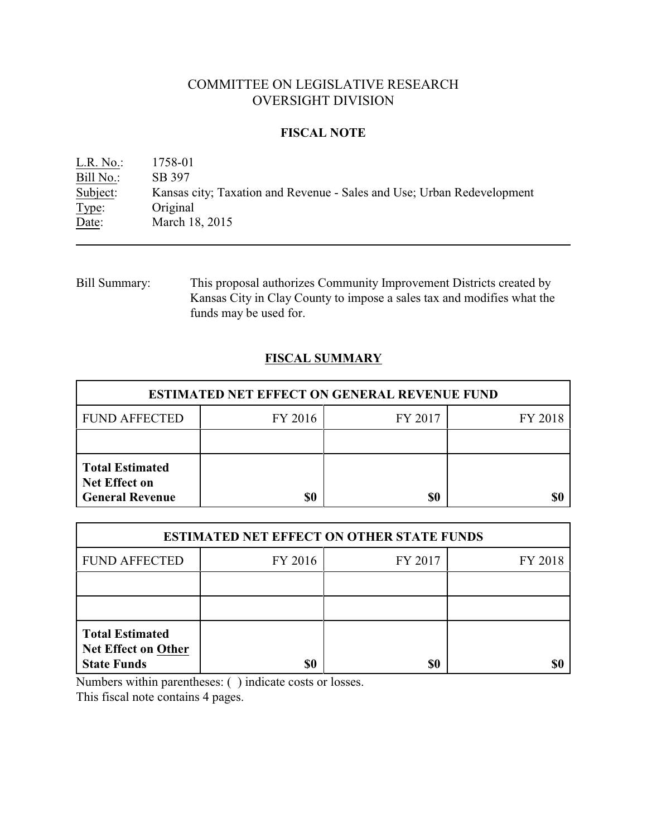# COMMITTEE ON LEGISLATIVE RESEARCH OVERSIGHT DIVISION

## **FISCAL NOTE**

L.R. No.: 1758-01 Bill No.: SB 397<br>Subject: Kansas Kansas city; Taxation and Revenue - Sales and Use; Urban Redevelopment Type: Original Date: March 18, 2015

Bill Summary: This proposal authorizes Community Improvement Districts created by Kansas City in Clay County to impose a sales tax and modifies what the funds may be used for.

# **FISCAL SUMMARY**

| <b>ESTIMATED NET EFFECT ON GENERAL REVENUE FUND</b>                      |         |         |         |  |
|--------------------------------------------------------------------------|---------|---------|---------|--|
| <b>FUND AFFECTED</b>                                                     | FY 2016 | FY 2017 | FY 2018 |  |
|                                                                          |         |         |         |  |
| <b>Total Estimated</b><br><b>Net Effect on</b><br><b>General Revenue</b> | \$0     | \$0     |         |  |

| <b>ESTIMATED NET EFFECT ON OTHER STATE FUNDS</b>                           |         |         |         |  |
|----------------------------------------------------------------------------|---------|---------|---------|--|
| <b>FUND AFFECTED</b>                                                       | FY 2016 | FY 2017 | FY 2018 |  |
|                                                                            |         |         |         |  |
|                                                                            |         |         |         |  |
| <b>Total Estimated</b><br><b>Net Effect on Other</b><br><b>State Funds</b> | \$0     | \$0     |         |  |

Numbers within parentheses: ( ) indicate costs or losses.

This fiscal note contains 4 pages.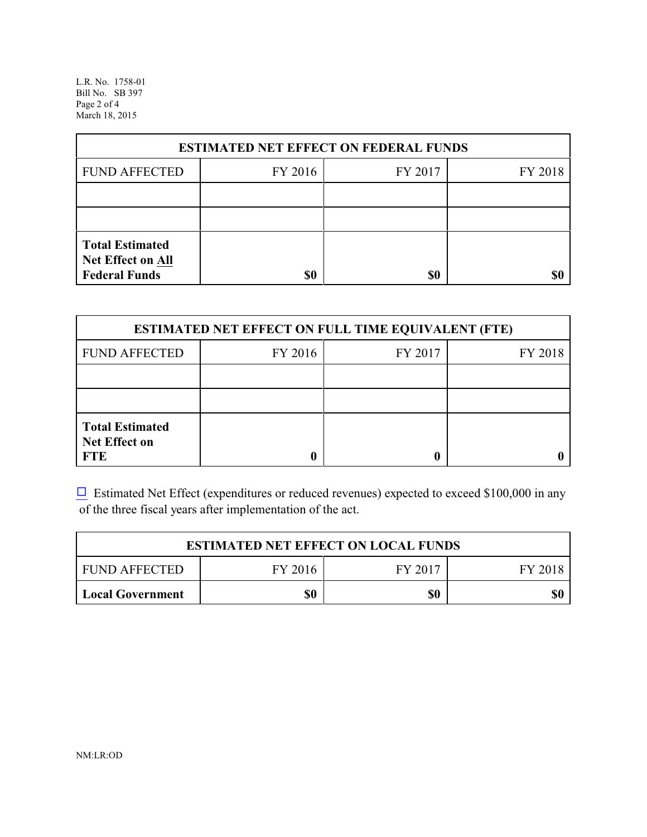L.R. No. 1758-01 Bill No. SB 397 Page 2 of 4 March 18, 2015

| <b>ESTIMATED NET EFFECT ON FEDERAL FUNDS</b>                        |         |         |         |  |
|---------------------------------------------------------------------|---------|---------|---------|--|
| <b>FUND AFFECTED</b>                                                | FY 2016 | FY 2017 | FY 2018 |  |
|                                                                     |         |         |         |  |
|                                                                     |         |         |         |  |
| <b>Total Estimated</b><br>Net Effect on All<br><b>Federal Funds</b> | \$0     | \$0     |         |  |

| <b>ESTIMATED NET EFFECT ON FULL TIME EQUIVALENT (FTE)</b>    |         |         |         |  |
|--------------------------------------------------------------|---------|---------|---------|--|
| <b>FUND AFFECTED</b>                                         | FY 2016 | FY 2017 | FY 2018 |  |
|                                                              |         |         |         |  |
|                                                              |         |         |         |  |
| <b>Total Estimated</b><br><b>Net Effect on</b><br><b>FTE</b> |         |         |         |  |

 $\Box$  Estimated Net Effect (expenditures or reduced revenues) expected to exceed \$100,000 in any of the three fiscal years after implementation of the act.

| <b>ESTIMATED NET EFFECT ON LOCAL FUNDS</b> |         |         |         |  |
|--------------------------------------------|---------|---------|---------|--|
| <b>FUND AFFECTED</b>                       | FY 2016 | FY 2017 | FY 2018 |  |
| Local Government                           | \$0     | \$0     | \$0     |  |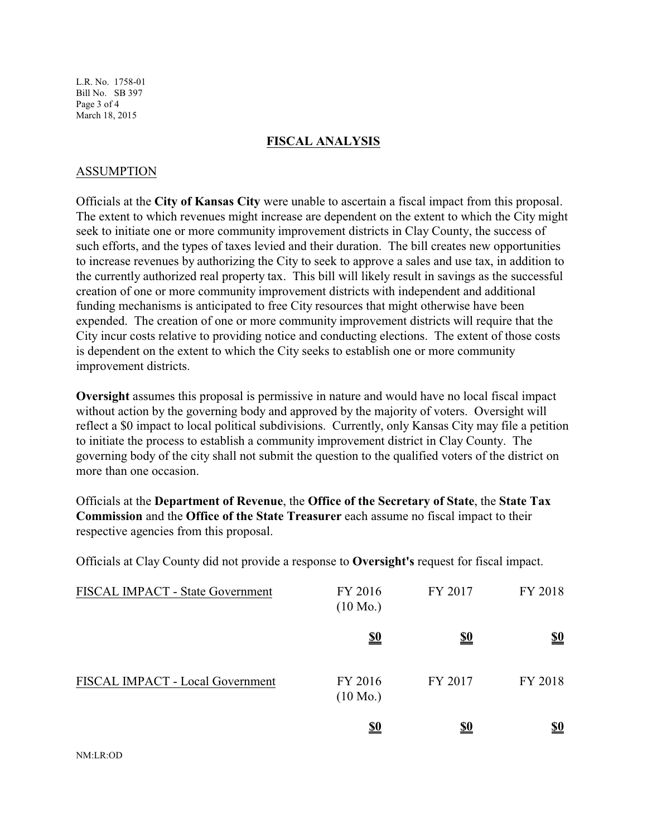L.R. No. 1758-01 Bill No. SB 397 Page 3 of 4 March 18, 2015

### **FISCAL ANALYSIS**

## ASSUMPTION

Officials at the **City of Kansas City** were unable to ascertain a fiscal impact from this proposal. The extent to which revenues might increase are dependent on the extent to which the City might seek to initiate one or more community improvement districts in Clay County, the success of such efforts, and the types of taxes levied and their duration. The bill creates new opportunities to increase revenues by authorizing the City to seek to approve a sales and use tax, in addition to the currently authorized real property tax. This bill will likely result in savings as the successful creation of one or more community improvement districts with independent and additional funding mechanisms is anticipated to free City resources that might otherwise have been expended. The creation of one or more community improvement districts will require that the City incur costs relative to providing notice and conducting elections. The extent of those costs is dependent on the extent to which the City seeks to establish one or more community improvement districts.

**Oversight** assumes this proposal is permissive in nature and would have no local fiscal impact without action by the governing body and approved by the majority of voters. Oversight will reflect a \$0 impact to local political subdivisions. Currently, only Kansas City may file a petition to initiate the process to establish a community improvement district in Clay County. The governing body of the city shall not submit the question to the qualified voters of the district on more than one occasion.

Officials at the **Department of Revenue**, the **Office of the Secretary of State**, the **State Tax Commission** and the **Office of the State Treasurer** each assume no fiscal impact to their respective agencies from this proposal.

Officials at Clay County did not provide a response to **Oversight's** request for fiscal impact.

| FISCAL IMPACT - State Government | FY 2016<br>$(10 \text{ Mo.})$ | FY 2017    | FY 2018    |
|----------------------------------|-------------------------------|------------|------------|
|                                  | <u>\$0</u>                    | <u>\$0</u> | <u>\$0</u> |
| FISCAL IMPACT - Local Government | FY 2016<br>$(10 \text{ Mo.})$ | FY 2017    | FY 2018    |
|                                  | <u>\$0</u>                    | <u>\$0</u> | <u>\$0</u> |